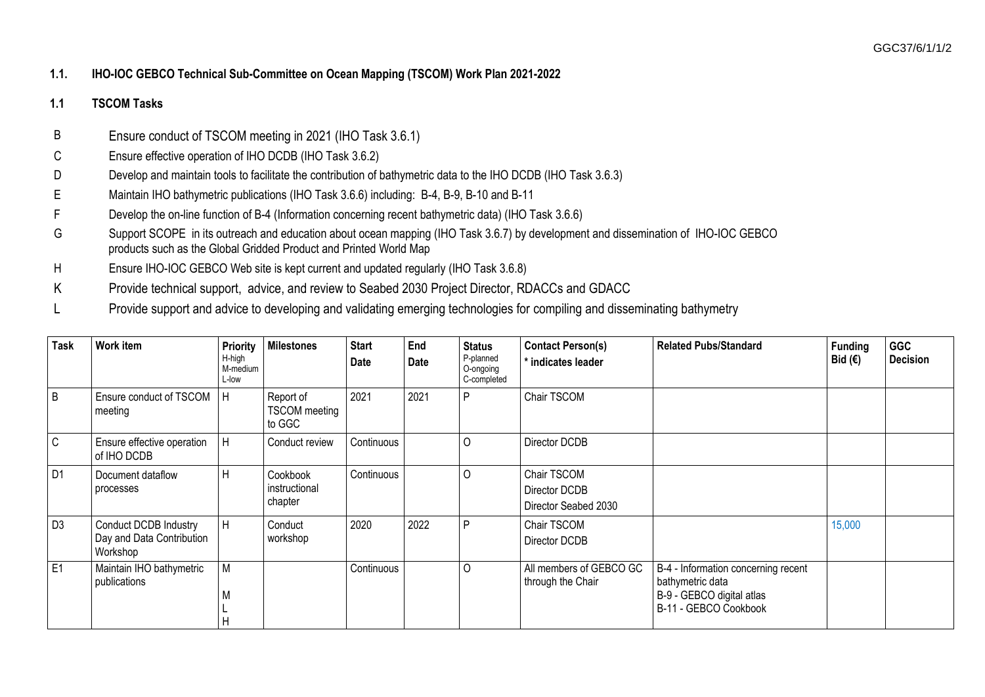## **1.1. IHO-IOC GEBCO Technical Sub-Committee on Ocean Mapping (TSCOM) Work Plan 2021-2022**

## **1.1 TSCOM Tasks**

- B Ensure conduct of TSCOM meeting in 2021 (IHO Task 3.6.1)
- C Ensure effective operation of IHO DCDB (IHO Task 3.6.2)
- D Develop and maintain tools to facilitate the contribution of bathymetric data to the IHO DCDB (IHO Task 3.6.3)
- E Maintain IHO bathymetric publications (IHO Task 3.6.6) including: B-4, B-9, B-10 and B-11
- F Develop the on-line function of B-4 (Information concerning recent bathymetric data) (IHO Task 3.6.6)
- G Support SCOPE in its outreach and education about ocean mapping (IHO Task 3.6.7) by development and dissemination of IHO-IOC GEBCO products such as the Global Gridded Product and Printed World Map
- H Ensure IHO-IOC GEBCO Web site is kept current and updated regularly (IHO Task 3.6.8)
- K Provide technical support, advice, and review to Seabed 2030 Project Director, RDACCs and GDACC
- L Provide support and advice to developing and validating emerging technologies for compiling and disseminating bathymetry

| <b>Task</b>    | Work item                                                             | <b>Priority</b><br>H-high<br>M-medium<br>L-low | <b>Milestones</b>                           | <b>Start</b><br><b>Date</b> | End<br>Date | <b>Status</b><br>P-planned<br>O-ongoing<br>C-completed | <b>Contact Person(s)</b><br>* indicates leader       | <b>Related Pubs/Standard</b>                                                                                  | <b>Funding</b><br>Bid $(€)$ | <b>GGC</b><br><b>Decision</b> |
|----------------|-----------------------------------------------------------------------|------------------------------------------------|---------------------------------------------|-----------------------------|-------------|--------------------------------------------------------|------------------------------------------------------|---------------------------------------------------------------------------------------------------------------|-----------------------------|-------------------------------|
| B              | Ensure conduct of TSCOM<br>meeting                                    | - I H                                          | Report of<br><b>TSCOM</b> meeting<br>to GGC | 2021                        | 2021        | D                                                      | Chair TSCOM                                          |                                                                                                               |                             |                               |
| $\mathsf C$    | Ensure effective operation<br>of IHO DCDB                             | H                                              | Conduct review                              | Continuous                  |             | 0                                                      | Director DCDB                                        |                                                                                                               |                             |                               |
| D <sub>1</sub> | Document dataflow<br>processes                                        | H                                              | Cookbook<br>instructional<br>chapter        | Continuous                  |             | 0                                                      | Chair TSCOM<br>Director DCDB<br>Director Seabed 2030 |                                                                                                               |                             |                               |
| D <sub>3</sub> | <b>Conduct DCDB Industry</b><br>Day and Data Contribution<br>Workshop | H                                              | Conduct<br>workshop                         | 2020                        | 2022        | D                                                      | Chair TSCOM<br>Director DCDB                         |                                                                                                               | 15,000                      |                               |
| E1             | Maintain IHO bathymetric<br>publications                              | M<br>M                                         |                                             | Continuous                  |             | 0                                                      | All members of GEBCO GC<br>through the Chair         | B-4 - Information concerning recent<br>bathymetric data<br>B-9 - GEBCO digital atlas<br>B-11 - GEBCO Cookbook |                             |                               |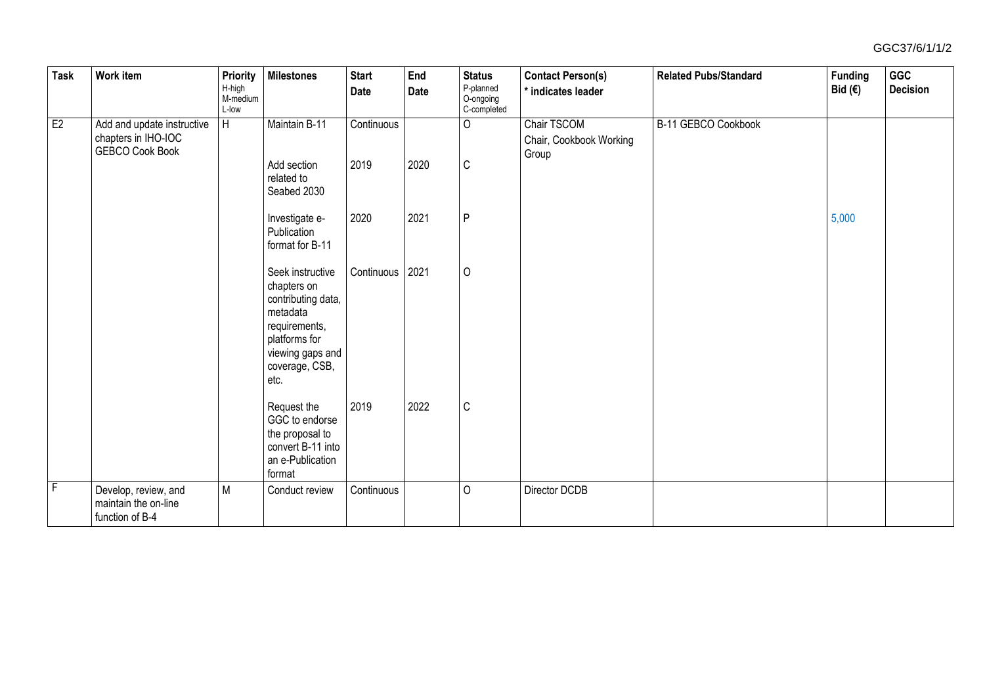## GGC37/6/1/1/2

| <b>Task</b>  | Work item                                                       | <b>Priority</b><br>H-high<br>M-medium<br>L-low | <b>Milestones</b>                                                                                                                                 | <b>Start</b><br>Date | End<br>Date | <b>Status</b><br>P-planned<br>O-ongoing<br>C-completed | <b>Contact Person(s)</b><br>* indicates leader | <b>Related Pubs/Standard</b> | <b>Funding</b><br>Bid $(€)$ | GGC<br><b>Decision</b> |
|--------------|-----------------------------------------------------------------|------------------------------------------------|---------------------------------------------------------------------------------------------------------------------------------------------------|----------------------|-------------|--------------------------------------------------------|------------------------------------------------|------------------------------|-----------------------------|------------------------|
| E2           | Add and update instructive<br>chapters in IHO-IOC               | H                                              | Maintain B-11                                                                                                                                     | Continuous           |             | $\circ$                                                | Chair TSCOM<br>Chair, Cookbook Working         | B-11 GEBCO Cookbook          |                             |                        |
|              | <b>GEBCO Cook Book</b>                                          |                                                | Add section<br>related to<br>Seabed 2030                                                                                                          | 2019                 | 2020        | $\mathsf C$                                            | Group                                          |                              |                             |                        |
|              |                                                                 |                                                | Investigate e-<br>Publication<br>format for B-11                                                                                                  | 2020                 | 2021        | P                                                      |                                                |                              | 5,000                       |                        |
|              |                                                                 |                                                | Seek instructive<br>chapters on<br>contributing data,<br>metadata<br>requirements,<br>platforms for<br>viewing gaps and<br>coverage, CSB,<br>etc. | Continuous   2021    |             | $\circ$                                                |                                                |                              |                             |                        |
|              |                                                                 |                                                | Request the<br>GGC to endorse<br>the proposal to<br>convert B-11 into<br>an e-Publication<br>format                                               | 2019                 | 2022        | $\mathbb C$                                            |                                                |                              |                             |                        |
| $\mathsf{F}$ | Develop, review, and<br>maintain the on-line<br>function of B-4 | M                                              | Conduct review                                                                                                                                    | Continuous           |             | $\circ$                                                | Director DCDB                                  |                              |                             |                        |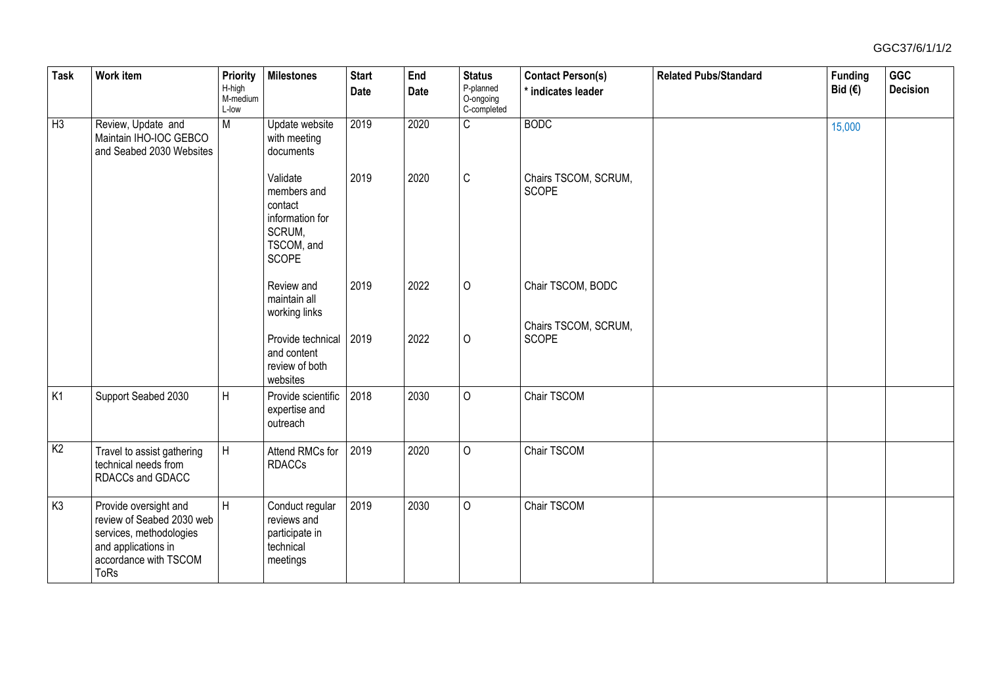| Task           | Work item                                                                                                                                    | Priority<br>H-high<br>M-medium<br>L-low | <b>Milestones</b>                                                                             | <b>Start</b><br>Date | End<br>Date | <b>Status</b><br>P-planned<br>O-ongoing<br>C-completed | <b>Contact Person(s)</b><br>* indicates leader | <b>Related Pubs/Standard</b> | <b>Funding</b><br>Bid $(€)$ | GGC<br><b>Decision</b> |
|----------------|----------------------------------------------------------------------------------------------------------------------------------------------|-----------------------------------------|-----------------------------------------------------------------------------------------------|----------------------|-------------|--------------------------------------------------------|------------------------------------------------|------------------------------|-----------------------------|------------------------|
| $H_3$          | Review, Update and<br>Maintain IHO-IOC GEBCO<br>and Seabed 2030 Websites                                                                     | $\overline{M}$                          | Update website<br>with meeting<br>documents                                                   | 2019                 | 2020        | $\overline{C}$                                         | <b>BODC</b>                                    |                              | 15,000                      |                        |
|                |                                                                                                                                              |                                         | Validate<br>members and<br>contact<br>information for<br>SCRUM,<br>TSCOM, and<br><b>SCOPE</b> | 2019                 | 2020        | $\mathsf{C}$                                           | Chairs TSCOM, SCRUM,<br><b>SCOPE</b>           |                              |                             |                        |
|                |                                                                                                                                              |                                         | Review and<br>maintain all<br>working links                                                   | 2019                 | 2022        | $\circ$                                                | Chair TSCOM, BODC                              |                              |                             |                        |
|                |                                                                                                                                              |                                         | Provide technical<br>and content<br>review of both<br>websites                                | 2019                 | 2022        | $\circ$                                                | Chairs TSCOM, SCRUM,<br><b>SCOPE</b>           |                              |                             |                        |
| K <sub>1</sub> | Support Seabed 2030                                                                                                                          | H                                       | Provide scientific<br>expertise and<br>outreach                                               | 2018                 | 2030        | $\mathbf 0$                                            | Chair TSCOM                                    |                              |                             |                        |
| K <sub>2</sub> | Travel to assist gathering<br>technical needs from<br>RDACCs and GDACC                                                                       | H                                       | Attend RMCs for<br><b>RDACCs</b>                                                              | 2019                 | 2020        | $\mathbf 0$                                            | Chair TSCOM                                    |                              |                             |                        |
| K <sub>3</sub> | Provide oversight and<br>review of Seabed 2030 web<br>services, methodologies<br>and applications in<br>accordance with TSCOM<br><b>ToRs</b> | H                                       | Conduct regular<br>reviews and<br>participate in<br>technical<br>meetings                     | 2019                 | 2030        | $\circ$                                                | Chair TSCOM                                    |                              |                             |                        |